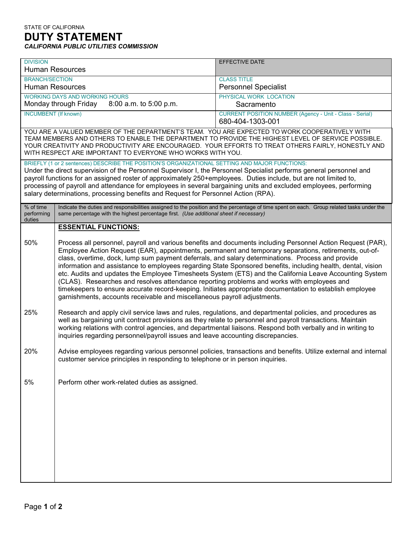| <b>DIVISION</b><br><b>Human Resources</b>                                                                                                                                                                                                                                                                                                                                                                                                                                                                                                            |                                                                                                                                                                                                                                                                                                                                                                                                                                                                                                                                                                                                                                                                                                                                                                                                                                             | <b>EFFECTIVE DATE</b>                                                               |  |
|------------------------------------------------------------------------------------------------------------------------------------------------------------------------------------------------------------------------------------------------------------------------------------------------------------------------------------------------------------------------------------------------------------------------------------------------------------------------------------------------------------------------------------------------------|---------------------------------------------------------------------------------------------------------------------------------------------------------------------------------------------------------------------------------------------------------------------------------------------------------------------------------------------------------------------------------------------------------------------------------------------------------------------------------------------------------------------------------------------------------------------------------------------------------------------------------------------------------------------------------------------------------------------------------------------------------------------------------------------------------------------------------------------|-------------------------------------------------------------------------------------|--|
| <b>BRANCH/SECTION</b><br><b>Human Resources</b>                                                                                                                                                                                                                                                                                                                                                                                                                                                                                                      |                                                                                                                                                                                                                                                                                                                                                                                                                                                                                                                                                                                                                                                                                                                                                                                                                                             | <b>CLASS TITLE</b><br><b>Personnel Specialist</b>                                   |  |
| <b>WORKING DAYS AND WORKING HOURS</b><br>Monday through Friday<br>8:00 a.m. to 5:00 p.m.                                                                                                                                                                                                                                                                                                                                                                                                                                                             |                                                                                                                                                                                                                                                                                                                                                                                                                                                                                                                                                                                                                                                                                                                                                                                                                                             | PHYSICAL WORK LOCATION<br>Sacramento                                                |  |
| <b>INCUMBENT (If known)</b>                                                                                                                                                                                                                                                                                                                                                                                                                                                                                                                          |                                                                                                                                                                                                                                                                                                                                                                                                                                                                                                                                                                                                                                                                                                                                                                                                                                             | <b>CURRENT POSITION NUMBER (Agency - Unit - Class - Serial)</b><br>680-404-1303-001 |  |
| YOU ARE A VALUED MEMBER OF THE DEPARTMENT'S TEAM. YOU ARE EXPECTED TO WORK COOPERATIVELY WITH<br>TEAM MEMBERS AND OTHERS TO ENABLE THE DEPARTMENT TO PROVIDE THE HIGHEST LEVEL OF SERVICE POSSIBLE.<br>YOUR CREATIVITY AND PRODUCTIVITY ARE ENCOURAGED. YOUR EFFORTS TO TREAT OTHERS FAIRLY, HONESTLY AND<br>WITH RESPECT ARE IMPORTANT TO EVERYONE WHO WORKS WITH YOU.                                                                                                                                                                              |                                                                                                                                                                                                                                                                                                                                                                                                                                                                                                                                                                                                                                                                                                                                                                                                                                             |                                                                                     |  |
| BRIEFLY (1 or 2 sentences) DESCRIBE THE POSITION'S ORGANIZATIONAL SETTING AND MAJOR FUNCTIONS:<br>Under the direct supervision of the Personnel Supervisor I, the Personnel Specialist performs general personnel and<br>payroll functions for an assigned roster of approximately 250+employees. Duties include, but are not limited to,<br>processing of payroll and attendance for employees in several bargaining units and excluded employees, performing<br>salary determinations, processing benefits and Request for Personnel Action (RPA). |                                                                                                                                                                                                                                                                                                                                                                                                                                                                                                                                                                                                                                                                                                                                                                                                                                             |                                                                                     |  |
| % of time<br>performing<br>duties                                                                                                                                                                                                                                                                                                                                                                                                                                                                                                                    | Indicate the duties and responsibilities assigned to the position and the percentage of time spent on each. Group related tasks under the<br>same percentage with the highest percentage first. (Use additional sheet if necessary)                                                                                                                                                                                                                                                                                                                                                                                                                                                                                                                                                                                                         |                                                                                     |  |
|                                                                                                                                                                                                                                                                                                                                                                                                                                                                                                                                                      | <b>ESSENTIAL FUNCTIONS:</b>                                                                                                                                                                                                                                                                                                                                                                                                                                                                                                                                                                                                                                                                                                                                                                                                                 |                                                                                     |  |
| 50%                                                                                                                                                                                                                                                                                                                                                                                                                                                                                                                                                  | Process all personnel, payroll and various benefits and documents including Personnel Action Request (PAR),<br>Employee Action Request (EAR), appointments, permanent and temporary separations, retirements, out-of-<br>class, overtime, dock, lump sum payment deferrals, and salary determinations. Process and provide<br>information and assistance to employees regarding State Sponsored benefits, including health, dental, vision<br>etc. Audits and updates the Employee Timesheets System (ETS) and the California Leave Accounting System<br>(CLAS). Researches and resolves attendance reporting problems and works with employees and<br>timekeepers to ensure accurate record-keeping. Initiates appropriate documentation to establish employee<br>garnishments, accounts receivable and miscellaneous payroll adjustments. |                                                                                     |  |
| 25%                                                                                                                                                                                                                                                                                                                                                                                                                                                                                                                                                  | Research and apply civil service laws and rules, regulations, and departmental policies, and procedures as<br>well as bargaining unit contract provisions as they relate to personnel and payroll transactions. Maintain<br>working relations with control agencies, and departmental liaisons. Respond both verbally and in writing to<br>inquiries regarding personnel/payroll issues and leave accounting discrepancies.                                                                                                                                                                                                                                                                                                                                                                                                                 |                                                                                     |  |
| 20%                                                                                                                                                                                                                                                                                                                                                                                                                                                                                                                                                  | Advise employees regarding various personnel policies, transactions and benefits. Utilize external and internal<br>customer service principles in responding to telephone or in person inquiries.                                                                                                                                                                                                                                                                                                                                                                                                                                                                                                                                                                                                                                           |                                                                                     |  |
| 5%                                                                                                                                                                                                                                                                                                                                                                                                                                                                                                                                                   | Perform other work-related duties as assigned.                                                                                                                                                                                                                                                                                                                                                                                                                                                                                                                                                                                                                                                                                                                                                                                              |                                                                                     |  |
|                                                                                                                                                                                                                                                                                                                                                                                                                                                                                                                                                      |                                                                                                                                                                                                                                                                                                                                                                                                                                                                                                                                                                                                                                                                                                                                                                                                                                             |                                                                                     |  |